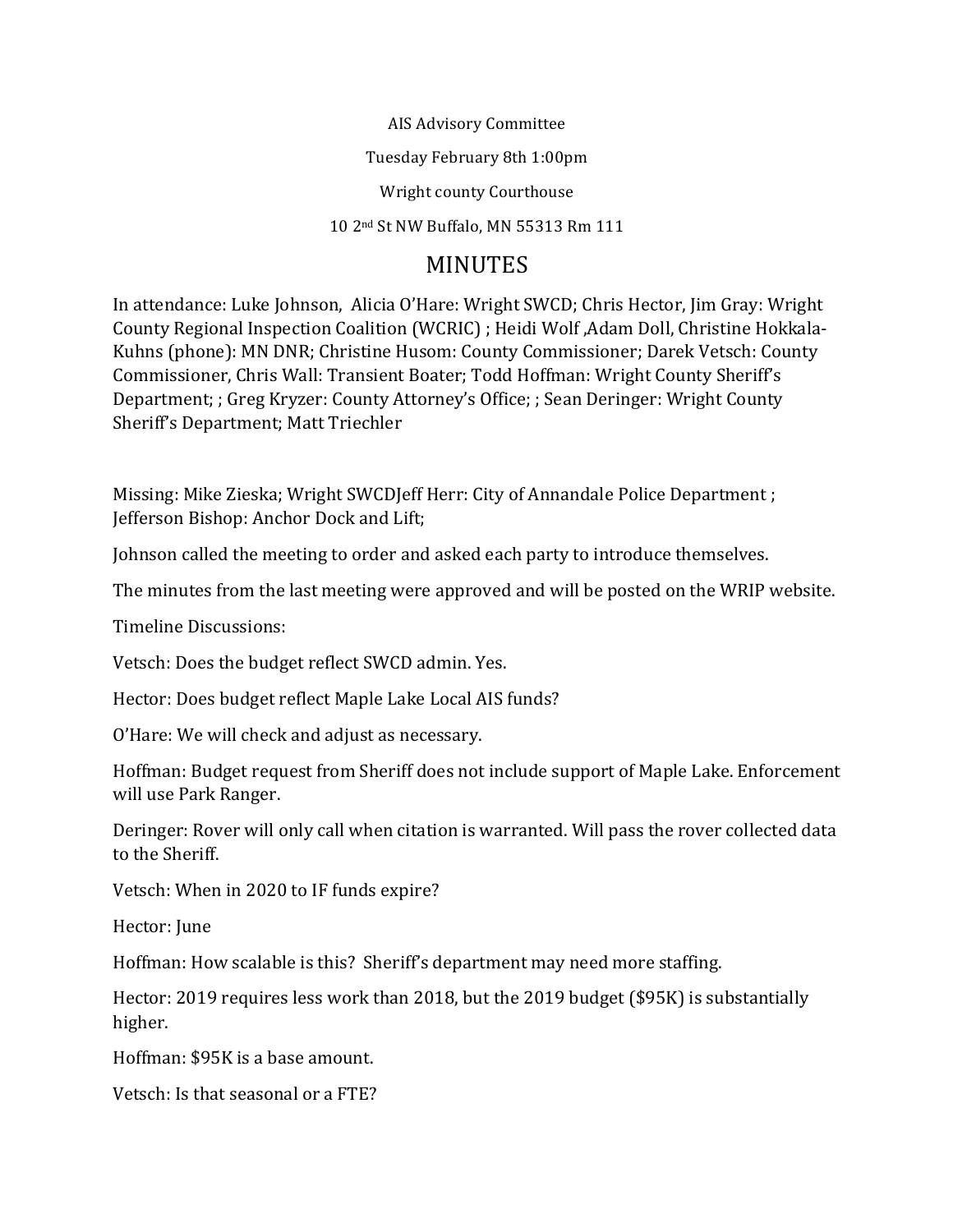AIS Advisory Committee

Tuesday February 8th 1:00pm

Wright county Courthouse

10 2nd St NW Buffalo, MN 55313 Rm 111

## MINUTES

In attendance: Luke Johnson, Alicia O'Hare: Wright SWCD; Chris Hector, Jim Gray: Wright County Regional Inspection Coalition (WCRIC) ; Heidi Wolf, Adam Doll, Christine Hokkala-Kuhns (phone): MN DNR; Christine Husom: County Commissioner; Darek Vetsch: County Commissioner, Chris Wall: Transient Boater; Todd Hoffman: Wright County Sheriff's Department; ; Greg Kryzer: County Attorney's Office; ; Sean Deringer: Wright County Sheriff's Department; Matt Triechler

Missing: Mike Zieska; Wright SWCDJeff Herr: City of Annandale Police Department ; Jefferson Bishop: Anchor Dock and Lift;

Johnson called the meeting to order and asked each party to introduce themselves.

The minutes from the last meeting were approved and will be posted on the WRIP website.

Timeline Discussions:

Vetsch: Does the budget reflect SWCD admin. Yes.

Hector: Does budget reflect Maple Lake Local AIS funds?

O'Hare: We will check and adjust as necessary.

Hoffman: Budget request from Sheriff does not include support of Maple Lake. Enforcement will use Park Ranger.

Deringer: Rover will only call when citation is warranted. Will pass the rover collected data to the Sheriff.

Vetsch: When in 2020 to IF funds expire?

Hector: June

Hoffman: How scalable is this? Sheriff's department may need more staffing.

Hector: 2019 requires less work than 2018, but the 2019 budget (\$95K) is substantially higher.

Hoffman: \$95K is a base amount.

Vetsch: Is that seasonal or a FTE?